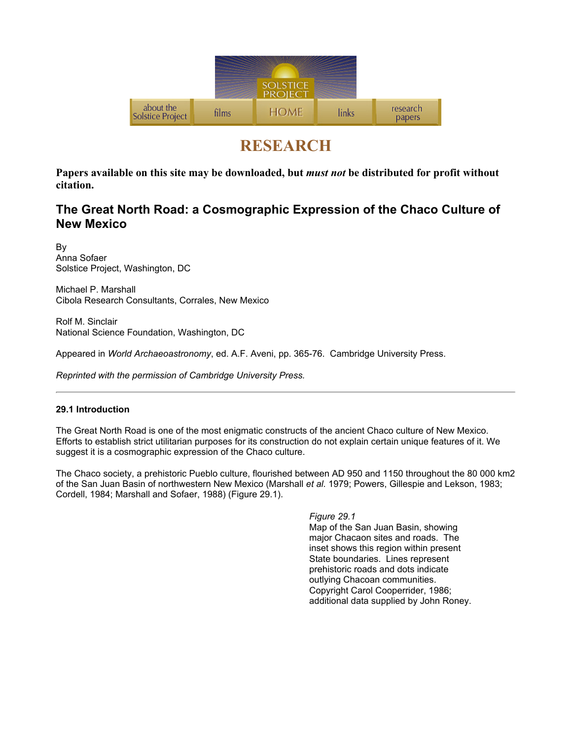

# RESEARCH

Papers available on this site may be downloaded, but *must not* be distributed for profit without citation.

# The Great North Road: a Cosmographic Expression of the Chaco Culture of New Mexico

By Anna Sofaer Solstice Project, Washington, DC

Michael P. Marshall Cibola Research Consultants, Corrales, New Mexico

Rolf M. Sinclair National Science Foundation, Washington, DC

Appeared in World Archaeoastronomy, ed. A.F. Aveni, pp. 365-76. Cambridge University Press.

Reprinted with the permission of Cambridge University Press.

## 29.1 Introduction

The Great North Road is one of the most enigmatic constructs of the ancient Chaco culture of New Mexico. Efforts to establish strict utilitarian purposes for its construction do not explain certain unique features of it. We suggest it is a cosmographic expression of the Chaco culture.

The Chaco society, a prehistoric Pueblo culture, flourished between AD 950 and 1150 throughout the 80 000 km2 of the San Juan Basin of northwestern New Mexico (Marshall et al. 1979; Powers, Gillespie and Lekson, 1983; Cordell, 1984; Marshall and Sofaer, 1988) (Figure 29.1).

> Figure 29.1 Map of the San Juan Basin, showing major Chacaon sites and roads. The inset shows this region within present State boundaries. Lines represent prehistoric roads and dots indicate outlying Chacoan communities. Copyright Carol Cooperrider, 1986; additional data supplied by John Roney.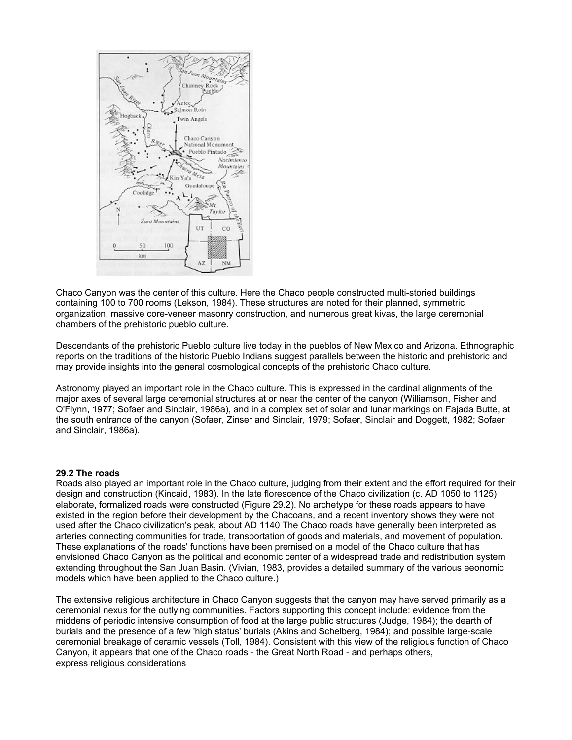

Chaco Canyon was the center of this culture. Here the Chaco people constructed multi-storied buildings containing 100 to 700 rooms (Lekson, 1984). These structures are noted for their planned, symmetric organization, massive core-veneer masonry construction, and numerous great kivas, the large ceremonial chambers of the prehistoric pueblo culture.

Descendants of the prehistoric Pueblo culture live today in the pueblos of New Mexico and Arizona. Ethnographic reports on the traditions of the historic Pueblo Indians suggest parallels between the historic and prehistoric and may provide insights into the general cosmological concepts of the prehistoric Chaco culture.

Astronomy played an important role in the Chaco culture. This is expressed in the cardinal alignments of the major axes of several large ceremonial structures at or near the center of the canyon (Williamson, Fisher and O'Flynn, 1977; Sofaer and Sinclair, 1986a), and in a complex set of solar and lunar markings on Fajada Butte, at the south entrance of the canyon (Sofaer, Zinser and Sinclair, 1979; Sofaer, Sinclair and Doggett, 1982; Sofaer and Sinclair, 1986a).

#### 29.2 The roads

Roads also played an important role in the Chaco culture, judging from their extent and the effort required for their design and construction (Kincaid, 1983). In the late florescence of the Chaco civilization (c. AD 1050 to 1125) elaborate, formalized roads were constructed (Figure 29.2). No archetype for these roads appears to have existed in the region before their development by the Chacoans, and a recent inventory shows they were not used after the Chaco civilization's peak, about AD 1140 The Chaco roads have generally been interpreted as arteries connecting communities for trade, transportation of goods and materials, and movement of population. These explanations of the roads' functions have been premised on a model of the Chaco culture that has envisioned Chaco Canyon as the political and economic center of a widespread trade and redistribution system extending throughout the San Juan Basin. (Vivian, 1983, provides a detailed summary of the various eeonomic models which have been applied to the Chaco culture.)

The extensive religious architecture in Chaco Canyon suggests that the canyon may have served primarily as a ceremonial nexus for the outlying communities. Factors supporting this concept include: evidence from the middens of periodic intensive consumption of food at the large public structures (Judge, 1984); the dearth of burials and the presence of a few 'high status' burials (Akins and Schelberg, 1984); and possible large-scale ceremonial breakage of ceramic vessels (Toll, 1984). Consistent with this view of the religious function of Chaco Canyon, it appears that one of the Chaco roads - the Great North Road - and perhaps others, express religious considerations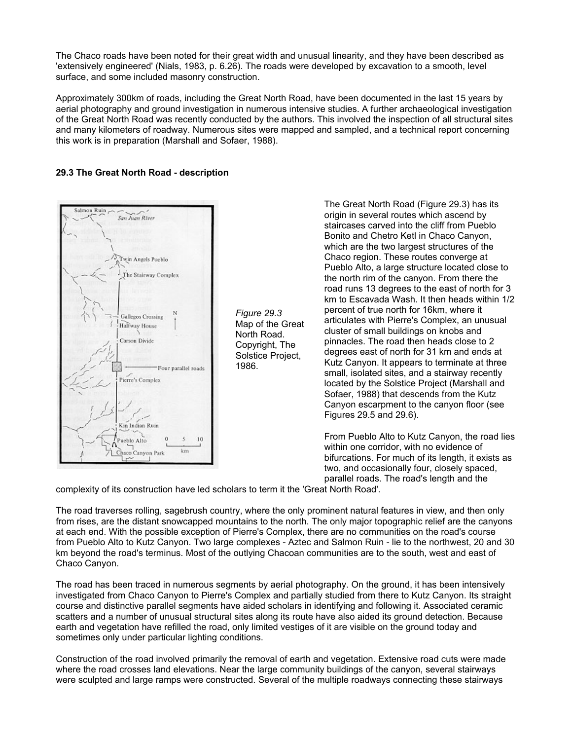The Chaco roads have been noted for their great width and unusual linearity, and they have been described as 'extensively engineered' (Nials, 1983, p. 6.26). The roads were developed by excavation to a smooth, level surface, and some included masonry construction.

Approximately 300km of roads, including the Great North Road, have been documented in the last 15 years by aerial photography and ground investigation in numerous intensive studies. A further archaeological investigation of the Great North Road was recently conducted by the authors. This involved the inspection of all structural sites and many kilometers of roadway. Numerous sites were mapped and sampled, and a technical report concerning this work is in preparation (Marshall and Sofaer, 1988).

### 29.3 The Great North Road - description



Figure 29.3 Map of the Great North Road. Copyright, The Solstice Project, 1986.

The Great North Road (Figure 29.3) has its origin in several routes which ascend by staircases carved into the cliff from Pueblo Bonito and Chetro Ketl in Chaco Canyon, which are the two largest structures of the Chaco region. These routes converge at Pueblo Alto, a large structure located close to the north rim of the canyon. From there the road runs 13 degrees to the east of north for 3 km to Escavada Wash. It then heads within 1/2 percent of true north for 16km, where it articulates with Pierre's Complex, an unusual cluster of small buildings on knobs and pinnacles. The road then heads close to 2 degrees east of north for 31 km and ends at Kutz Canyon. It appears to terminate at three small, isolated sites, and a stairway recently located by the Solstice Project (Marshall and Sofaer, 1988) that descends from the Kutz Canyon escarpment to the canyon floor (see Figures 29.5 and 29.6).

From Pueblo Alto to Kutz Canyon, the road lies within one corridor, with no evidence of bifurcations. For much of its length, it exists as two, and occasionally four, closely spaced, parallel roads. The road's length and the

complexity of its construction have led scholars to term it the 'Great North Road'.

The road traverses rolling, sagebrush country, where the only prominent natural features in view, and then only from rises, are the distant snowcapped mountains to the north. The only major topographic relief are the canyons at each end. With the possible exception of Pierre's Complex, there are no communities on the road's course from Pueblo Alto to Kutz Canyon. Two large complexes - Aztec and Salmon Ruin - lie to the northwest, 20 and 30 km beyond the road's terminus. Most of the outlying Chacoan communities are to the south, west and east of Chaco Canyon.

The road has been traced in numerous segments by aerial photography. On the ground, it has been intensively investigated from Chaco Canyon to Pierre's Complex and partially studied from there to Kutz Canyon. Its straight course and distinctive parallel segments have aided scholars in identifying and following it. Associated ceramic scatters and a number of unusual structural sites along its route have also aided its ground detection. Because earth and vegetation have refilled the road, only limited vestiges of it are visible on the ground today and sometimes only under particular lighting conditions.

Construction of the road involved primarily the removal of earth and vegetation. Extensive road cuts were made where the road crosses land elevations. Near the large community buildings of the canyon, several stairways were sculpted and large ramps were constructed. Several of the multiple roadways connecting these stairways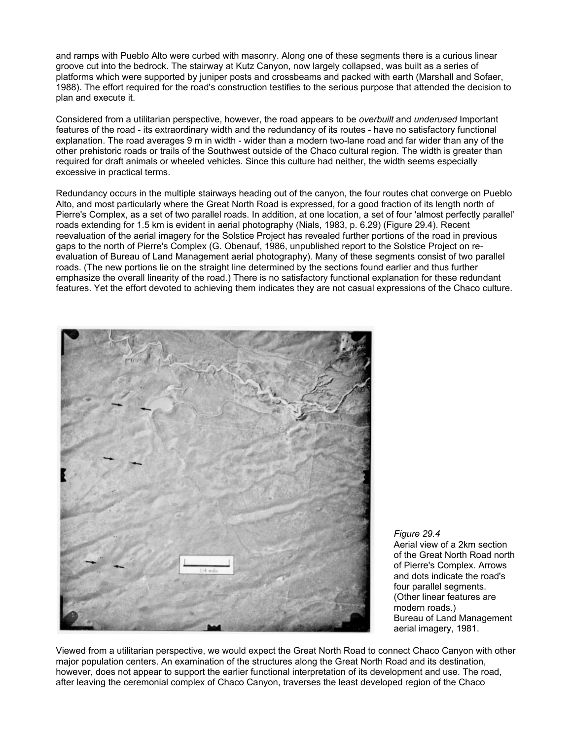and ramps with Pueblo Alto were curbed with masonry. Along one of these segments there is a curious linear groove cut into the bedrock. The stairway at Kutz Canyon, now largely collapsed, was built as a series of platforms which were supported by juniper posts and crossbeams and packed with earth (Marshall and Sofaer, 1988). The effort required for the road's construction testifies to the serious purpose that attended the decision to plan and execute it.

Considered from a utilitarian perspective, however, the road appears to be overbuilt and underused Important features of the road - its extraordinary width and the redundancy of its routes - have no satisfactory functional explanation. The road averages 9 m in width - wider than a modern two-lane road and far wider than any of the other prehistoric roads or trails of the Southwest outside of the Chaco cultural region. The width is greater than required for draft animals or wheeled vehicles. Since this culture had neither, the width seems especially excessive in practical terms.

Redundancy occurs in the multiple stairways heading out of the canyon, the four routes chat converge on Pueblo Alto, and most particularly where the Great North Road is expressed, for a good fraction of its length north of Pierre's Complex, as a set of two parallel roads. In addition, at one location, a set of four 'almost perfectly parallel' roads extending for 1.5 km is evident in aerial photography (Nials, 1983, p. 6.29) (Figure 29.4). Recent reevaluation of the aerial imagery for the Solstice Project has revealed further portions of the road in previous gaps to the north of Pierre's Complex (G. Obenauf, 1986, unpublished report to the Solstice Project on reevaluation of Bureau of Land Management aerial photography). Many of these segments consist of two parallel roads. (The new portions lie on the straight line determined by the sections found earlier and thus further emphasize the overall linearity of the road.) There is no satisfactory functional explanation for these redundant features. Yet the effort devoted to achieving them indicates they are not casual expressions of the Chaco culture.



Figure 29.4

Aerial view of a 2km section of the Great North Road north of Pierre's Complex. Arrows and dots indicate the road's four parallel segments. (Other linear features are modern roads.) Bureau of Land Management aerial imagery, 1981.

Viewed from a utilitarian perspective, we would expect the Great North Road to connect Chaco Canyon with other major population centers. An examination of the structures along the Great North Road and its destination, however, does not appear to support the earlier functional interpretation of its development and use. The road, after leaving the ceremonial complex of Chaco Canyon, traverses the least developed region of the Chaco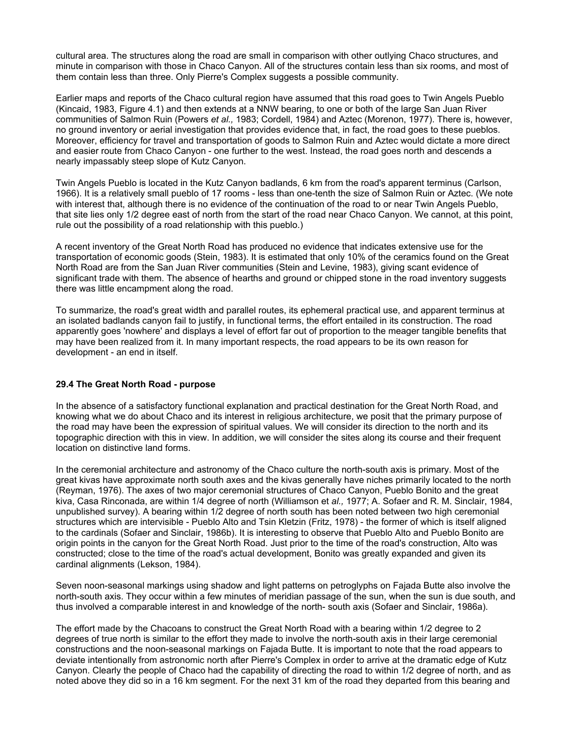cultural area. The structures along the road are small in comparison with other outlying Chaco structures, and minute in comparison with those in Chaco Canyon. All of the structures contain less than six rooms, and most of them contain less than three. Only Pierre's Complex suggests a possible community.

Earlier maps and reports of the Chaco cultural region have assumed that this road goes to Twin Angels Pueblo (Kincaid, 1983, Figure 4.1) and then extends at a NNW bearing, to one or both of the large San Juan River communities of Salmon Ruin (Powers et al., 1983; Cordell, 1984) and Aztec (Morenon, 1977). There is, however, no ground inventory or aerial investigation that provides evidence that, in fact, the road goes to these pueblos. Moreover, efficiency for travel and transportation of goods to Salmon Ruin and Aztec would dictate a more direct and easier route from Chaco Canyon - one further to the west. Instead, the road goes north and descends a nearly impassably steep slope of Kutz Canyon.

Twin Angels Pueblo is located in the Kutz Canyon badlands, 6 km from the road's apparent terminus (Carlson, 1966). It is a relatively small pueblo of 17 rooms - less than one-tenth the size of Salmon Ruin or Aztec. (We note with interest that, although there is no evidence of the continuation of the road to or near Twin Angels Pueblo, that site lies only 1/2 degree east of north from the start of the road near Chaco Canyon. We cannot, at this point, rule out the possibility of a road relationship with this pueblo.)

A recent inventory of the Great North Road has produced no evidence that indicates extensive use for the transportation of economic goods (Stein, 1983). It is estimated that only 10% of the ceramics found on the Great North Road are from the San Juan River communities (Stein and Levine, 1983), giving scant evidence of significant trade with them. The absence of hearths and ground or chipped stone in the road inventory suggests there was little encampment along the road.

To summarize, the road's great width and parallel routes, its ephemeral practical use, and apparent terminus at an isolated badlands canyon fail to justify, in functional terms, the effort entailed in its construction. The road apparently goes 'nowhere' and displays a level of effort far out of proportion to the meager tangible benefits that may have been realized from it. In many important respects, the road appears to be its own reason for development - an end in itself.

#### 29.4 The Great North Road - purpose

In the absence of a satisfactory functional explanation and practical destination for the Great North Road, and knowing what we do about Chaco and its interest in religious architecture, we posit that the primary purpose of the road may have been the expression of spiritual values. We will consider its direction to the north and its topographic direction with this in view. In addition, we will consider the sites along its course and their frequent location on distinctive land forms.

In the ceremonial architecture and astronomy of the Chaco culture the north-south axis is primary. Most of the great kivas have approximate north south axes and the kivas generally have niches primarily located to the north (Reyman, 1976). The axes of two major ceremonial structures of Chaco Canyon, Pueblo Bonito and the great kiva, Casa Rinconada, are within 1/4 degree of north (Williamson et al., 1977; A. Sofaer and R. M. Sinclair, 1984, unpublished survey). A bearing within 1/2 degree of north south has been noted between two high ceremonial structures which are intervisible - Pueblo Alto and Tsin Kletzin (Fritz, 1978) - the former of which is itself aligned to the cardinals (Sofaer and Sinclair, 1986b). It is interesting to observe that Pueblo Alto and Pueblo Bonito are origin points in the canyon for the Great North Road. Just prior to the time of the road's construction, Alto was constructed; close to the time of the road's actual development, Bonito was greatly expanded and given its cardinal alignments (Lekson, 1984).

Seven noon-seasonal markings using shadow and light patterns on petroglyphs on Fajada Butte also involve the north-south axis. They occur within a few minutes of meridian passage of the sun, when the sun is due south, and thus involved a comparable interest in and knowledge of the north- south axis (Sofaer and Sinclair, 1986a).

The effort made by the Chacoans to construct the Great North Road with a bearing within 1/2 degree to 2 degrees of true north is similar to the effort they made to involve the north-south axis in their large ceremonial constructions and the noon-seasonal markings on Fajada Butte. It is important to note that the road appears to deviate intentionally from astronomic north after Pierre's Complex in order to arrive at the dramatic edge of Kutz Canyon. Clearly the people of Chaco had the capability of directing the road to within 1/2 degree of north, and as noted above they did so in a 16 km segment. For the next 31 km of the road they departed from this bearing and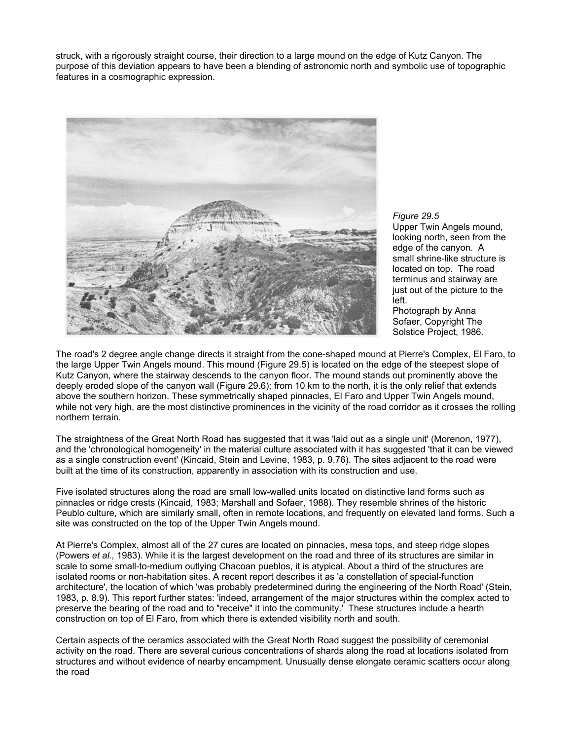struck, with a rigorously straight course, their direction to a large mound on the edge of Kutz Canyon. The purpose of this deviation appears to have been a blending of astronomic north and symbolic use of topographic features in a cosmographic expression.



Figure 29.5 Upper Twin Angels mound, looking north, seen from the edge of the canyon. A small shrine-like structure is located on top. The road terminus and stairway are just out of the picture to the left. Photograph by Anna

Sofaer, Copyright The Solstice Project, 1986.

The road's 2 degree angle change directs it straight from the cone-shaped mound at Pierre's Complex, El Faro, to the large Upper Twin Angels mound. This mound (Figure 29.5) is located on the edge of the steepest slope of Kutz Canyon, where the stairway descends to the canyon floor. The mound stands out prominently above the deeply eroded slope of the canyon wall (Figure 29.6); from 10 km to the north, it is the only relief that extends above the southern horizon. These symmetrically shaped pinnacles, El Faro and Upper Twin Angels mound, while not very high, are the most distinctive prominences in the vicinity of the road corridor as it crosses the rolling northern terrain.

The straightness of the Great North Road has suggested that it was 'laid out as a single unit' (Morenon, 1977), and the 'chronological homogeneity' in the material culture associated with it has suggested 'that it can be viewed as a single construction event' (Kincaid, Stein and Levine, 1983, p. 9.76). The sites adjacent to the road were built at the time of its construction, apparently in association with its construction and use.

Five isolated structures along the road are small low-walled units located on distinctive land forms such as pinnacles or ridge crests (Kincaid, 1983; Marshall and Sofaer, 1988). They resemble shrines of the historic Peublo culture, which are similarly small, often in remote locations, and frequently on elevated land forms. Such a site was constructed on the top of the Upper Twin Angels mound.

At Pierre's Complex, almost all of the 27 cures are located on pinnacles, mesa tops, and steep ridge slopes (Powers et al., 1983). While it is the largest development on the road and three of its structures are similar in scale to some small-to-medium outlying Chacoan pueblos, it is atypical. About a third of the structures are isolated rooms or non-habitation sites. A recent report describes it as 'a constellation of special-function architecture', the location of which 'was probably predetermined during the engineering of the North Road' (Stein, 1983, p. 8.9). This report further states: 'indeed, arrangement of the major structures within the complex acted to preserve the bearing of the road and to "receive" it into the community.' These structures include a hearth construction on top of El Faro, from which there is extended visibility north and south.

Certain aspects of the ceramics associated with the Great North Road suggest the possibility of ceremonial activity on the road. There are several curious concentrations of shards along the road at locations isolated from structures and without evidence of nearby encampment. Unusually dense elongate ceramic scatters occur along the road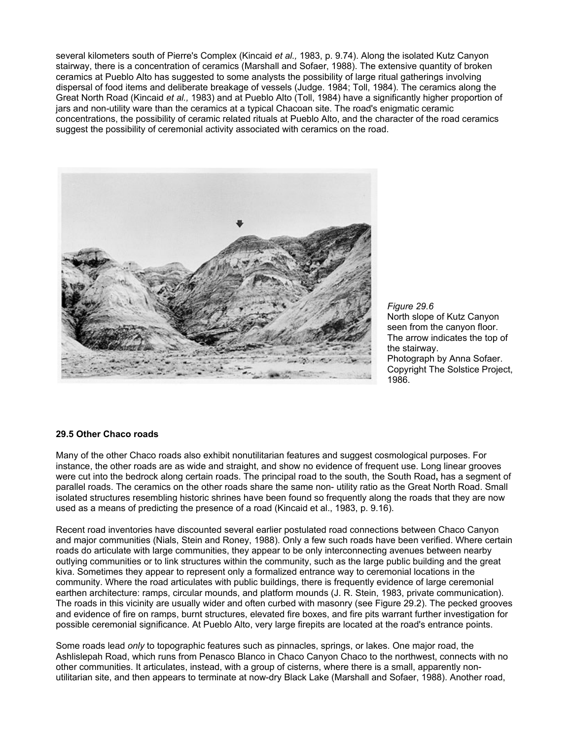several kilometers south of Pierre's Complex (Kincaid et al., 1983, p. 9.74). Along the isolated Kutz Canyon stairway, there is a concentration of ceramics (Marshall and Sofaer, 1988). The extensive quantity of broken ceramics at Pueblo Alto has suggested to some analysts the possibility of large ritual gatherings involving dispersal of food items and deliberate breakage of vessels (Judge. 1984; Toll, 1984). The ceramics along the Great North Road (Kincaid et al., 1983) and at Pueblo Alto (Toll, 1984) have a significantly higher proportion of jars and non-utility ware than the ceramics at a typical Chacoan site. The road's enigmatic ceramic concentrations, the possibility of ceramic related rituals at Pueblo Alto, and the character of the road ceramics suggest the possibility of ceremonial activity associated with ceramics on the road.



Figure 29.6 North slope of Kutz Canyon seen from the canyon floor. The arrow indicates the top of the stairway. Photograph by Anna Sofaer. Copyright The Solstice Project, 1986.

#### 29.5 Other Chaco roads

Many of the other Chaco roads also exhibit nonutilitarian features and suggest cosmological purposes. For instance, the other roads are as wide and straight, and show no evidence of frequent use. Long linear grooves were cut into the bedrock along certain roads. The principal road to the south, the South Road, has a segment of parallel roads. The ceramics on the other roads share the same non- utility ratio as the Great North Road. Small isolated structures resembling historic shrines have been found so frequently along the roads that they are now used as a means of predicting the presence of a road (Kincaid et al., 1983, p. 9.16).

Recent road inventories have discounted several earlier postulated road connections between Chaco Canyon and major communities (Nials, Stein and Roney, 1988). Only a few such roads have been verified. Where certain roads do articulate with large communities, they appear to be only interconnecting avenues between nearby outlying communities or to link structures within the community, such as the large public building and the great kiva. Sometimes they appear to represent only a formalized entrance way to ceremonial locations in the community. Where the road articulates with public buildings, there is frequently evidence of large ceremonial earthen architecture: ramps, circular mounds, and platform mounds (J. R. Stein, 1983, private communication). The roads in this vicinity are usually wider and often curbed with masonry (see Figure 29.2). The pecked grooves and evidence of fire on ramps, burnt structures, elevated fire boxes, and fire pits warrant further investigation for possible ceremonial significance. At Pueblo Alto, very large firepits are located at the road's entrance points.

Some roads lead only to topographic features such as pinnacles, springs, or lakes. One major road, the Ashlislepah Road, which runs from Penasco Blanco in Chaco Canyon Chaco to the northwest, connects with no other communities. It articulates, instead, with a group of cisterns, where there is a small, apparently nonutilitarian site, and then appears to terminate at now-dry Black Lake (Marshall and Sofaer, 1988). Another road,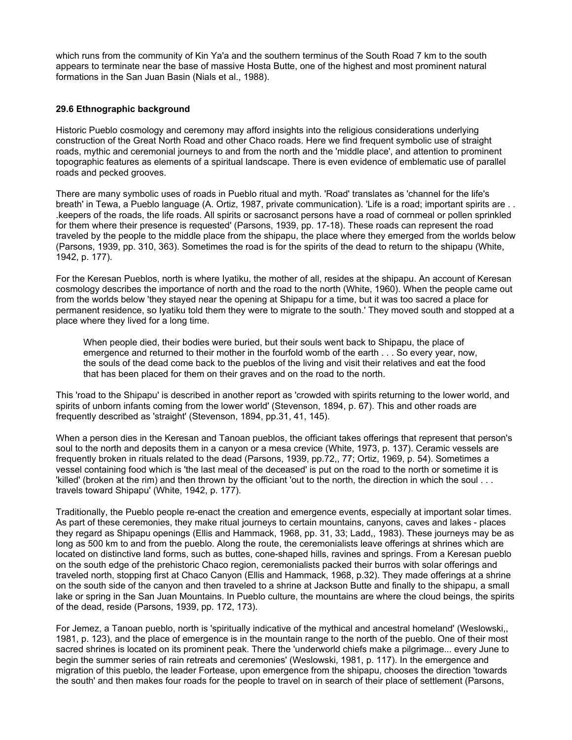which runs from the community of Kin Ya'a and the southern terminus of the South Road 7 km to the south appears to terminate near the base of massive Hosta Butte, one of the highest and most prominent natural formations in the San Juan Basin (Nials et al., 1988).

#### 29.6 Ethnographic background

Historic Pueblo cosmology and ceremony may afford insights into the religious considerations underlying construction of the Great North Road and other Chaco roads. Here we find frequent symbolic use of straight roads, mythic and ceremonial journeys to and from the north and the 'middle place', and attention to prominent topographic features as elements of a spiritual landscape. There is even evidence of emblematic use of parallel roads and pecked grooves.

There are many symbolic uses of roads in Pueblo ritual and myth. 'Road' translates as 'channel for the life's breath' in Tewa, a Pueblo language (A. Ortiz, 1987, private communication). 'Life is a road; important spirits are . . .keepers of the roads, the life roads. All spirits or sacrosanct persons have a road of cornmeal or pollen sprinkled for them where their presence is requested' (Parsons, 1939, pp. 17-18). These roads can represent the road traveled by the people to the middle place from the shipapu, the place where they emerged from the worlds below (Parsons, 1939, pp. 310, 363). Sometimes the road is for the spirits of the dead to return to the shipapu (White, 1942, p. 177).

For the Keresan Pueblos, north is where Iyatiku, the mother of all, resides at the shipapu. An account of Keresan cosmology describes the importance of north and the road to the north (White, 1960). When the people came out from the worlds below 'they stayed near the opening at Shipapu for a time, but it was too sacred a place for permanent residence, so Iyatiku told them they were to migrate to the south.' They moved south and stopped at a place where they lived for a long time.

When people died, their bodies were buried, but their souls went back to Shipapu, the place of emergence and returned to their mother in the fourfold womb of the earth . . . So every year, now, the souls of the dead come back to the pueblos of the living and visit their relatives and eat the food that has been placed for them on their graves and on the road to the north.

This 'road to the Shipapu' is described in another report as 'crowded with spirits returning to the lower world, and spirits of unborn infants coming from the lower world' (Stevenson, 1894, p. 67). This and other roads are frequently described as 'straight' (Stevenson, 1894, pp.31, 41, 145).

When a person dies in the Keresan and Tanoan pueblos, the officiant takes offerings that represent that person's soul to the north and deposits them in a canyon or a mesa crevice (White, 1973, p. 137). Ceramic vessels are frequently broken in rituals related to the dead (Parsons, 1939, pp.72,, 77; Ortiz, 1969, p. 54). Sometimes a vessel containing food which is 'the last meal of the deceased' is put on the road to the north or sometime it is 'killed' (broken at the rim) and then thrown by the officiant 'out to the north, the direction in which the soul . . . travels toward Shipapu' (White, 1942, p. 177).

Traditionally, the Pueblo people re-enact the creation and emergence events, especially at important solar times. As part of these ceremonies, they make ritual journeys to certain mountains, canyons, caves and lakes - places they regard as Shipapu openings (Ellis and Hammack, 1968, pp. 31, 33; Ladd,, 1983). These journeys may be as long as 500 km to and from the pueblo. Along the route, the ceremonialists leave offerings at shrines which are located on distinctive land forms, such as buttes, cone-shaped hills, ravines and springs. From a Keresan pueblo on the south edge of the prehistoric Chaco region, ceremonialists packed their burros with solar offerings and traveled north, stopping first at Chaco Canyon (Ellis and Hammack, 1968, p.32). They made offerings at a shrine on the south side of the canyon and then traveled to a shrine at Jackson Butte and finally to the shipapu, a small lake or spring in the San Juan Mountains. In Pueblo culture, the mountains are where the cloud beings, the spirits of the dead, reside (Parsons, 1939, pp. 172, 173).

For Jemez, a Tanoan pueblo, north is 'spiritually indicative of the mythical and ancestral homeland' (Weslowski,, 1981, p. 123), and the place of emergence is in the mountain range to the north of the pueblo. One of their most sacred shrines is located on its prominent peak. There the 'underworld chiefs make a pilgrimage... every June to begin the summer series of rain retreats and ceremonies' (Weslowski, 1981, p. 117). In the emergence and migration of this pueblo, the leader Fortease, upon emergence from the shipapu, chooses the direction 'towards the south' and then makes four roads for the people to travel on in search of their place of settlement (Parsons,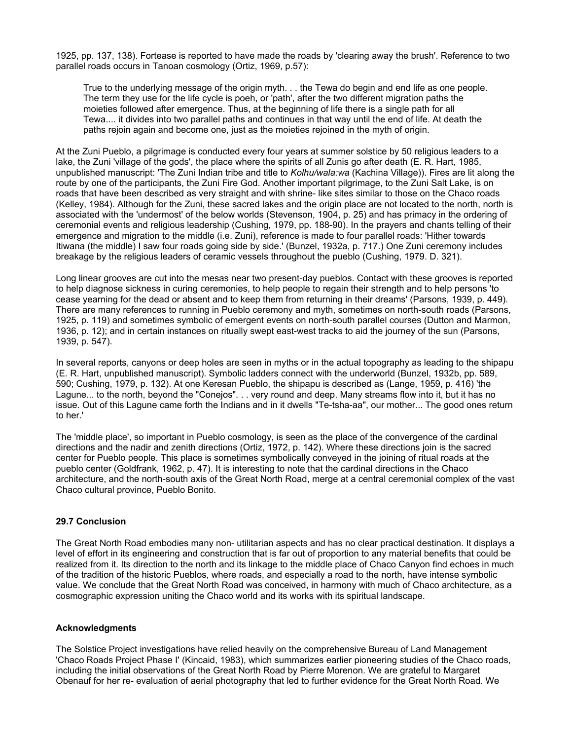1925, pp. 137, 138). Fortease is reported to have made the roads by 'clearing away the brush'. Reference to two parallel roads occurs in Tanoan cosmology (Ortiz, 1969, p.57):

True to the underlying message of the origin myth. . . the Tewa do begin and end life as one people. The term they use for the life cycle is poeh, or 'path', after the two different migration paths the moieties followed after emergence. Thus, at the beginning of life there is a single path for all Tewa.... it divides into two parallel paths and continues in that way until the end of life. At death the paths rejoin again and become one, just as the moieties rejoined in the myth of origin.

At the Zuni Pueblo, a pilgrimage is conducted every four years at summer solstice by 50 religious leaders to a lake, the Zuni 'village of the gods', the place where the spirits of all Zunis go after death (E. R. Hart, 1985, unpublished manuscript: 'The Zuni Indian tribe and title to Kolhu/wala:wa (Kachina Village)). Fires are lit along the route by one of the participants, the Zuni Fire God. Another important pilgrimage, to the Zuni Salt Lake, is on roads that have been described as very straight and with shrine- like sites similar to those on the Chaco roads (Kelley, 1984). Although for the Zuni, these sacred lakes and the origin place are not located to the north, north is associated with the 'undermost' of the below worlds (Stevenson, 1904, p. 25) and has primacy in the ordering of ceremonial events and religious leadership (Cushing, 1979, pp. 188-90). In the prayers and chants telling of their emergence and migration to the middle (i.e. Zuni), reference is made to four parallel roads: 'Hither towards Itiwana (the middle) I saw four roads going side by side.' (Bunzel, 1932a, p. 717.) One Zuni ceremony includes breakage by the religious leaders of ceramic vessels throughout the pueblo (Cushing, 1979. D. 321).

Long linear grooves are cut into the mesas near two present-day pueblos. Contact with these grooves is reported to help diagnose sickness in curing ceremonies, to help people to regain their strength and to help persons 'to cease yearning for the dead or absent and to keep them from returning in their dreams' (Parsons, 1939, p. 449). There are many references to running in Pueblo ceremony and myth, sometimes on north-south roads (Parsons, 1925, p. 119) and sometimes symbolic of emergent events on north-south parallel courses (Dutton and Marmon, 1936, p. 12); and in certain instances on ritually swept east-west tracks to aid the journey of the sun (Parsons, 1939, p. 547).

In several reports, canyons or deep holes are seen in myths or in the actual topography as leading to the shipapu (E. R. Hart, unpublished manuscript). Symbolic ladders connect with the underworld (Bunzel, 1932b, pp. 589, 590; Cushing, 1979, p. 132). At one Keresan Pueblo, the shipapu is described as (Lange, 1959, p. 416) 'the Lagune... to the north, beyond the "Conejos". . . very round and deep. Many streams flow into it, but it has no issue. Out of this Lagune came forth the Indians and in it dwells "Te-tsha-aa", our mother... The good ones return to her.'

The 'middle place', so important in Pueblo cosmology, is seen as the place of the convergence of the cardinal directions and the nadir and zenith directions (Ortiz, 1972, p. 142). Where these directions join is the sacred center for Pueblo people. This place is sometimes symbolically conveyed in the joining of ritual roads at the pueblo center (Goldfrank, 1962, p. 47). It is interesting to note that the cardinal directions in the Chaco architecture, and the north-south axis of the Great North Road, merge at a central ceremonial complex of the vast Chaco cultural province, Pueblo Bonito.

#### 29.7 Conclusion

The Great North Road embodies many non- utilitarian aspects and has no clear practical destination. It displays a level of effort in its engineering and construction that is far out of proportion to any material benefits that could be realized from it. Its direction to the north and its linkage to the middle place of Chaco Canyon find echoes in much of the tradition of the historic Pueblos, where roads, and especially a road to the north, have intense symbolic value. We conclude that the Great North Road was conceived, in harmony with much of Chaco architecture, as a cosmographic expression uniting the Chaco world and its works with its spiritual landscape.

#### Acknowledgments

The Solstice Project investigations have relied heavily on the comprehensive Bureau of Land Management 'Chaco Roads Project Phase I' (Kincaid, 1983), which summarizes earlier pioneering studies of the Chaco roads, including the initial observations of the Great North Road by Pierre Morenon. We are grateful to Margaret Obenauf for her re- evaluation of aerial photography that led to further evidence for the Great North Road. We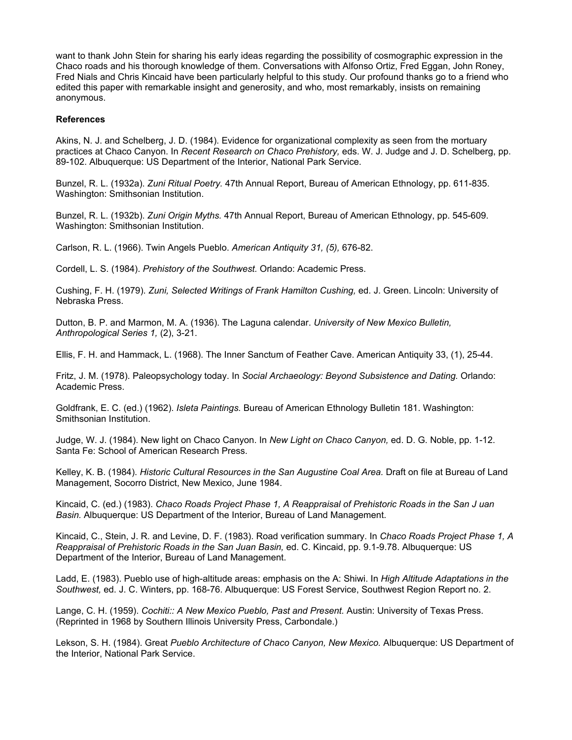want to thank John Stein for sharing his early ideas regarding the possibility of cosmographic expression in the Chaco roads and his thorough knowledge of them. Conversations with Alfonso Ortiz, Fred Eggan, John Roney, Fred Nials and Chris Kincaid have been particularly helpful to this study. Our profound thanks go to a friend who edited this paper with remarkable insight and generosity, and who, most remarkably, insists on remaining anonymous.

#### **References**

Akins, N. J. and Schelberg, J. D. (1984). Evidence for organizational complexity as seen from the mortuary practices at Chaco Canyon. In Recent Research on Chaco Prehistory, eds. W. J. Judge and J. D. Schelberg, pp. 89-102. Albuquerque: US Department of the Interior, National Park Service.

Bunzel, R. L. (1932a). Zuni Ritual Poetry. 47th Annual Report, Bureau of American Ethnology, pp. 611-835. Washington: Smithsonian Institution.

Bunzel, R. L. (1932b). Zuni Origin Myths. 47th Annual Report, Bureau of American Ethnology, pp. 545-609. Washington: Smithsonian Institution.

Carlson, R. L. (1966). Twin Angels Pueblo. American Antiquity 31, (5), 676-82.

Cordell, L. S. (1984). Prehistory of the Southwest. Orlando: Academic Press.

Cushing, F. H. (1979). Zuni, Selected Writings of Frank Hamilton Cushing, ed. J. Green. Lincoln: University of Nebraska Press.

Dutton, B. P. and Marmon, M. A. (1936). The Laguna calendar. University of New Mexico Bulletin, Anthropological Series 1, (2), 3-21.

Ellis, F. H. and Hammack, L. (1968). The Inner Sanctum of Feather Cave. American Antiquity 33, (1), 25-44.

Fritz, J. M. (1978). Paleopsychology today. In Social Archaeology: Beyond Subsistence and Dating. Orlando: Academic Press.

Goldfrank, E. C. (ed.) (1962). Isleta Paintings. Bureau of American Ethnology Bulletin 181. Washington: Smithsonian Institution.

Judge, W. J. (1984). New light on Chaco Canyon. In New Light on Chaco Canyon, ed. D. G. Noble, pp. 1-12. Santa Fe: School of American Research Press.

Kelley, K. B. (1984). Historic Cultural Resources in the San Augustine Coal Area. Draft on file at Bureau of Land Management, Socorro District, New Mexico, June 1984.

Kincaid, C. (ed.) (1983). Chaco Roads Project Phase 1, A Reappraisal of Prehistoric Roads in the San J uan Basin. Albuquerque: US Department of the Interior, Bureau of Land Management.

Kincaid, C., Stein, J. R. and Levine, D. F. (1983). Road verification summary. In Chaco Roads Project Phase 1, A Reappraisal of Prehistoric Roads in the San Juan Basin, ed. C. Kincaid, pp. 9.1-9.78. Albuquerque: US Department of the Interior, Bureau of Land Management.

Ladd, E. (1983). Pueblo use of high-altitude areas: emphasis on the A: Shiwi. In High Altitude Adaptations in the Southwest, ed. J. C. Winters, pp. 168-76. Albuquerque: US Forest Service, Southwest Region Report no. 2.

Lange, C. H. (1959). Cochiti:: A New Mexico Pueblo, Past and Present. Austin: University of Texas Press. (Reprinted in 1968 by Southern Illinois University Press, Carbondale.)

Lekson, S. H. (1984). Great Pueblo Architecture of Chaco Canyon, New Mexico. Albuquerque: US Department of the Interior, National Park Service.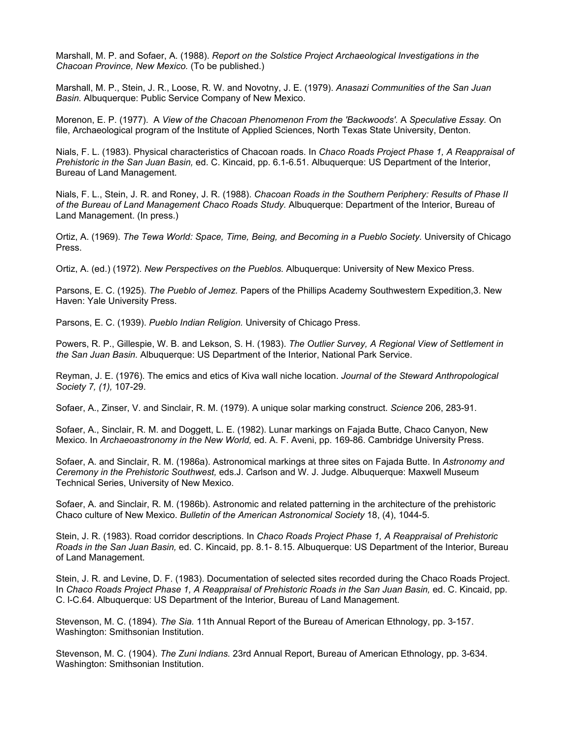Marshall, M. P. and Sofaer, A. (1988). Report on the Solstice Project Archaeological Investigations in the Chacoan Province, New Mexico. (To be published.)

Marshall, M. P., Stein, J. R., Loose, R. W. and Novotny, J. E. (1979). Anasazi Communities of the San Juan Basin. Albuquerque: Public Service Company of New Mexico.

Morenon, E. P. (1977). A View of the Chacoan Phenomenon From the 'Backwoods'. A Speculative Essay. On file, Archaeological program of the Institute of Applied Sciences, North Texas State University, Denton.

Nials, F. L. (1983). Physical characteristics of Chacoan roads. In Chaco Roads Project Phase 1, A Reappraisal of Prehistoric in the San Juan Basin, ed. C. Kincaid, pp. 6.1-6.51. Albuquerque: US Department of the Interior, Bureau of Land Management.

Nials, F. L., Stein, J. R. and Roney, J. R. (1988). Chacoan Roads in the Southern Periphery: Results of Phase II of the Bureau of Land Management Chaco Roads Study. Albuquerque: Department of the Interior, Bureau of Land Management. (In press.)

Ortiz, A. (1969). The Tewa World: Space, Time, Being, and Becoming in a Pueblo Society. University of Chicago Press.

Ortiz, A. (ed.) (1972). New Perspectives on the Pueblos. Albuquerque: University of New Mexico Press.

Parsons, E. C. (1925). The Pueblo of Jemez. Papers of the Phillips Academy Southwestern Expedition,3. New Haven: Yale University Press.

Parsons, E. C. (1939). Pueblo Indian Religion. University of Chicago Press.

Powers, R. P., Gillespie, W. B. and Lekson, S. H. (1983). The Outlier Survey, A Regional View of Settlement in the San Juan Basin. Albuquerque: US Department of the Interior, National Park Service.

Reyman, J. E. (1976). The emics and etics of Kiva wall niche location. Journal of the Steward Anthropological Society 7, (1), 107-29.

Sofaer, A., Zinser, V. and Sinclair, R. M. (1979). A unique solar marking construct. Science 206, 283-91.

Sofaer, A., Sinclair, R. M. and Doggett, L. E. (1982). Lunar markings on Fajada Butte, Chaco Canyon, New Mexico. In Archaeoastronomy in the New World, ed. A. F. Aveni, pp. 169-86. Cambridge University Press.

Sofaer, A. and Sinclair, R. M. (1986a). Astronomical markings at three sites on Fajada Butte. In Astronomy and Ceremony in the Prehistoric Southwest, eds.J. Carlson and W. J. Judge. Albuquerque: Maxwell Museum Technical Series, University of New Mexico.

Sofaer, A. and Sinclair, R. M. (1986b). Astronomic and related patterning in the architecture of the prehistoric Chaco culture of New Mexico. Bulletin of the American Astronomical Society 18, (4), 1044-5.

Stein, J. R. (1983). Road corridor descriptions. In Chaco Roads Project Phase 1, A Reappraisal of Prehistoric Roads in the San Juan Basin, ed. C. Kincaid, pp. 8.1- 8.15. Albuquerque: US Department of the Interior, Bureau of Land Management.

Stein, J. R. and Levine, D. F. (1983). Documentation of selected sites recorded during the Chaco Roads Project. In Chaco Roads Project Phase 1, A Reappraisal of Prehistoric Roads in the San Juan Basin, ed. C. Kincaid, pp. C. l-C.64. Albuquerque: US Department of the Interior, Bureau of Land Management.

Stevenson, M. C. (1894). The Sia. 11th Annual Report of the Bureau of American Ethnology, pp. 3-157. Washington: Smithsonian Institution.

Stevenson, M. C. (1904). The Zuni lndians. 23rd Annual Report, Bureau of American Ethnology, pp. 3-634. Washington: Smithsonian Institution.